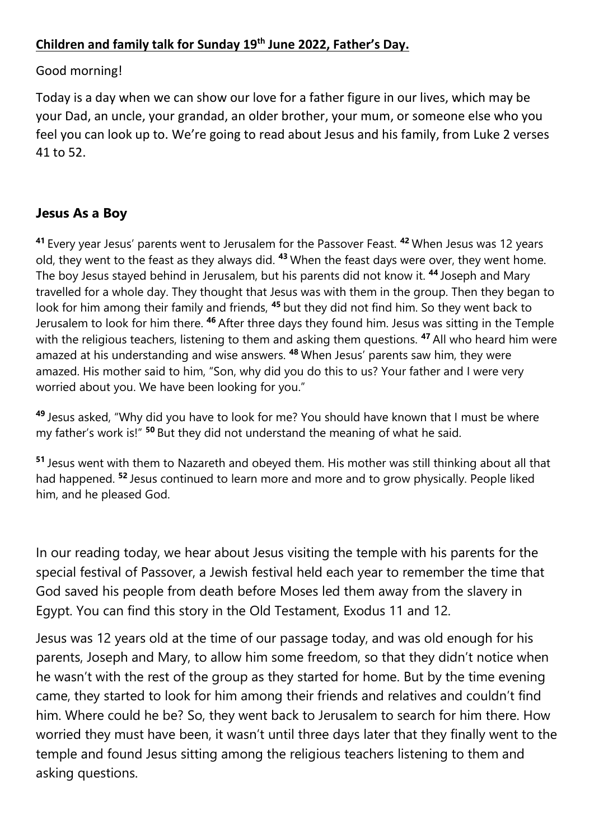## **Children and family talk for Sunday 19th June 2022, Father's Day.**

## Good morning!

Today is a day when we can show our love for a father figure in our lives, which may be your Dad, an uncle, your grandad, an older brother, your mum, or someone else who you feel you can look up to. We're going to read about Jesus and his family, from Luke 2 verses 41 to 52.

## **Jesus As a Boy**

**<sup>41</sup>** Every year Jesus' parents went to Jerusalem for the Passover Feast. **<sup>42</sup>** When Jesus was 12 years old, they went to the feast as they always did. **<sup>43</sup>** When the feast days were over, they went home. The boy Jesus stayed behind in Jerusalem, but his parents did not know it. **<sup>44</sup>** Joseph and Mary travelled for a whole day. They thought that Jesus was with them in the group. Then they began to look for him among their family and friends, **<sup>45</sup>** but they did not find him. So they went back to Jerusalem to look for him there. **<sup>46</sup>** After three days they found him. Jesus was sitting in the Temple with the religious teachers, listening to them and asking them questions. **<sup>47</sup>** All who heard him were amazed at his understanding and wise answers. **<sup>48</sup>** When Jesus' parents saw him, they were amazed. His mother said to him, "Son, why did you do this to us? Your father and I were very worried about you. We have been looking for you."

**<sup>49</sup>** Jesus asked, "Why did you have to look for me? You should have known that I must be where my father's work is!" **<sup>50</sup>** But they did not understand the meaning of what he said.

**<sup>51</sup>** Jesus went with them to Nazareth and obeyed them. His mother was still thinking about all that had happened. **<sup>52</sup>** Jesus continued to learn more and more and to grow physically. People liked him, and he pleased God.

In our reading today, we hear about Jesus visiting the temple with his parents for the special festival of Passover, a Jewish festival held each year to remember the time that God saved his people from death before Moses led them away from the slavery in Egypt. You can find this story in the Old Testament, Exodus 11 and 12.

Jesus was 12 years old at the time of our passage today, and was old enough for his parents, Joseph and Mary, to allow him some freedom, so that they didn't notice when he wasn't with the rest of the group as they started for home. But by the time evening came, they started to look for him among their friends and relatives and couldn't find him. Where could he be? So, they went back to Jerusalem to search for him there. How worried they must have been, it wasn't until three days later that they finally went to the temple and found Jesus sitting among the religious teachers listening to them and asking questions.